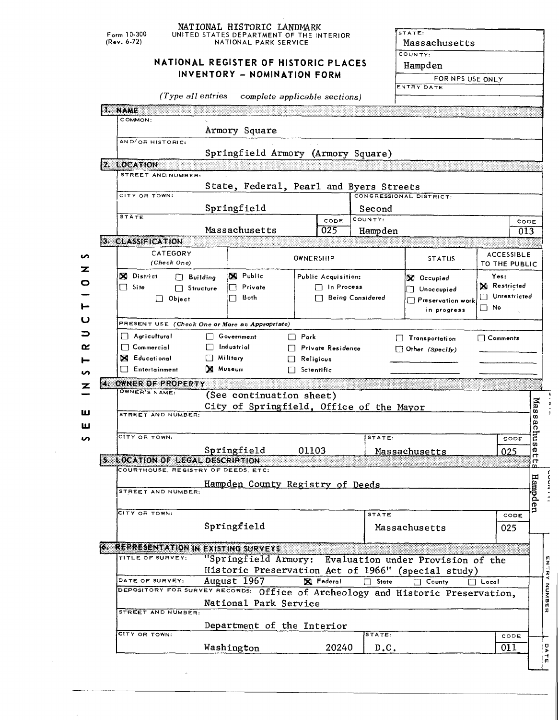|        | $F_{\text{orm}}$ 10-300                           | NATIONAL HISTORIC LANDMARK<br>UNITED STATES DEPARTMENT OF THE INTERIOR                                  |                                                                                                              |                                                                                                                                                                      | STATE:                                                  |                                    |  |  |  |  |  |  |
|--------|---------------------------------------------------|---------------------------------------------------------------------------------------------------------|--------------------------------------------------------------------------------------------------------------|----------------------------------------------------------------------------------------------------------------------------------------------------------------------|---------------------------------------------------------|------------------------------------|--|--|--|--|--|--|
|        | $(Rev. 6-72)$                                     | NATIONAL PARK SERVICE<br>NATIONAL REGISTER OF HISTORIC PLACES<br>INVENTORY - NOMINATION FORM            |                                                                                                              |                                                                                                                                                                      | Massachusetts<br>COUNTY:<br>Hampden<br>FOR NPS USE ONLY |                                    |  |  |  |  |  |  |
|        |                                                   | (Type all entries                                                                                       | complete applicable sections)                                                                                |                                                                                                                                                                      | ENTRY DATE                                              |                                    |  |  |  |  |  |  |
|        | 1. NAME<br>COMMON:                                |                                                                                                         |                                                                                                              |                                                                                                                                                                      |                                                         |                                    |  |  |  |  |  |  |
|        | Armory Square<br>AND/OR HISTORIC:                 |                                                                                                         |                                                                                                              |                                                                                                                                                                      |                                                         |                                    |  |  |  |  |  |  |
|        | 2. LOCATION                                       |                                                                                                         | Springfield Armory (Armory Square)                                                                           |                                                                                                                                                                      |                                                         |                                    |  |  |  |  |  |  |
|        | STREET AND NUMBER:                                |                                                                                                         | State, Federal, Pearl and Byers Streets                                                                      |                                                                                                                                                                      |                                                         |                                    |  |  |  |  |  |  |
|        | CITY OR TOWN:                                     |                                                                                                         |                                                                                                              | CONGRESSIONAL DISTRICT:                                                                                                                                              |                                                         |                                    |  |  |  |  |  |  |
|        | <b>STATE</b>                                      | Springfield                                                                                             |                                                                                                              | Second                                                                                                                                                               |                                                         |                                    |  |  |  |  |  |  |
|        |                                                   | Massachusetts                                                                                           | CODE<br>025                                                                                                  | COUNTY:<br>Hampden                                                                                                                                                   |                                                         | CODE<br>013                        |  |  |  |  |  |  |
|        | 3. CLASSIFICATION                                 |                                                                                                         |                                                                                                              |                                                                                                                                                                      |                                                         |                                    |  |  |  |  |  |  |
| n      | CATEGORY<br>(Check One)                           |                                                                                                         | OWNERSHIP                                                                                                    |                                                                                                                                                                      | <b>STATUS</b>                                           | <b>ACCESSIBLE</b><br>TO THE PUBLIC |  |  |  |  |  |  |
| z<br>0 | <b>X</b> District<br>$\Box$ Site<br>$\Box$ Object | X Public<br>$\Box$ Building<br>Private<br>$\Box$ Structure<br>Both                                      | Public Acquisition:<br>$\Box$ In Process                                                                     | Yes:<br>X Occupied<br><b>X</b> Restricted<br>$\Box$ Unoccupied<br>Unrestricted<br>$\Box$ Being Considered<br>$\Box$ Preservation work<br>$\square$ No<br>in progress |                                                         |                                    |  |  |  |  |  |  |
| ပ      |                                                   | PRESENT USE (Check One or More as Appropriate)                                                          |                                                                                                              |                                                                                                                                                                      |                                                         |                                    |  |  |  |  |  |  |
| ⊃      | $\Box$ Agricultural                               | □ Government                                                                                            | $\Box$ Park                                                                                                  |                                                                                                                                                                      | $\Box$ Transportation                                   | $\Box$ Comments                    |  |  |  |  |  |  |
| ≃      | $\Box$ Commercial                                 | $\Box$ Industrial                                                                                       | <b>Private Residence</b>                                                                                     |                                                                                                                                                                      | $\Box$ Other (Specify)                                  |                                    |  |  |  |  |  |  |
| ⊢      | <b>N</b> Educational                              | $\Box$ Military<br>X Museum                                                                             | Religious                                                                                                    |                                                                                                                                                                      |                                                         |                                    |  |  |  |  |  |  |
| ທ      | $\Box$ Entertainment                              |                                                                                                         | $\Box$ Scientific                                                                                            |                                                                                                                                                                      |                                                         |                                    |  |  |  |  |  |  |
| z      | OWNER OF PROPERTY<br>OWNER'S NAME:                | (See continuation sheet)                                                                                |                                                                                                              |                                                                                                                                                                      |                                                         |                                    |  |  |  |  |  |  |
| ш<br>ш | STREET AND NUMBER:                                |                                                                                                         | City of Springfield, Office of the Mayor                                                                     |                                                                                                                                                                      |                                                         | <b>Nas</b><br>w<br>aς              |  |  |  |  |  |  |
| S      | сітү ов том н:                                    |                                                                                                         |                                                                                                              | STATE:                                                                                                                                                               |                                                         | E<br>CODE                          |  |  |  |  |  |  |
|        |                                                   | Springfield                                                                                             | 01103                                                                                                        |                                                                                                                                                                      | Massachusetts                                           | Ō,<br>ወ<br>025                     |  |  |  |  |  |  |
|        | 5. LOCATION OF LEGAL DESCRIPTION                  |                                                                                                         |                                                                                                              |                                                                                                                                                                      |                                                         | 4<br>ᡣ                             |  |  |  |  |  |  |
|        |                                                   | COURTHOUSE, REGISTRY OF DEEDS, ETC:                                                                     |                                                                                                              |                                                                                                                                                                      |                                                         |                                    |  |  |  |  |  |  |
|        | STREET AND NUMBER:                                |                                                                                                         | Hampden County Registry of Deeds                                                                             |                                                                                                                                                                      |                                                         | Hampde                             |  |  |  |  |  |  |
|        | CITY OR TOWN:                                     |                                                                                                         |                                                                                                              | <b>STATE</b>                                                                                                                                                         |                                                         | s<br>CODE                          |  |  |  |  |  |  |
|        |                                                   | Springfield                                                                                             |                                                                                                              |                                                                                                                                                                      | Massachusetts                                           | 025                                |  |  |  |  |  |  |
|        | TITLE OF SURVEY:                                  | <b>6. REPRESENTATION IN EXISTING SURVEYS</b>                                                            | "Springfield Armory: Evaluation under Provision of the<br>Historic Preservation Act of 1966" (special study) |                                                                                                                                                                      |                                                         |                                    |  |  |  |  |  |  |
|        | DATE OF SURVEY:                                   | August 1967                                                                                             | X Federal                                                                                                    | $\Box$ State                                                                                                                                                         | County<br>n.                                            | $\Box$ Local                       |  |  |  |  |  |  |
|        |                                                   | DEPOSITORY FOR SURVEY RECORDS: Office of Archeology and Historic Preservation,<br>National Park Service |                                                                                                              |                                                                                                                                                                      |                                                         |                                    |  |  |  |  |  |  |
|        | STREET AND NUMBER:                                |                                                                                                         |                                                                                                              |                                                                                                                                                                      |                                                         |                                    |  |  |  |  |  |  |
|        |                                                   | Department of the Interior                                                                              |                                                                                                              |                                                                                                                                                                      |                                                         |                                    |  |  |  |  |  |  |
|        | CITY OR TOWN:                                     | Washington                                                                                              | 20240                                                                                                        | STATE<br>D.C.                                                                                                                                                        |                                                         | CODE<br>011                        |  |  |  |  |  |  |

 $\hat{\mathcal{S}}$ 

 $\bar{\beta}$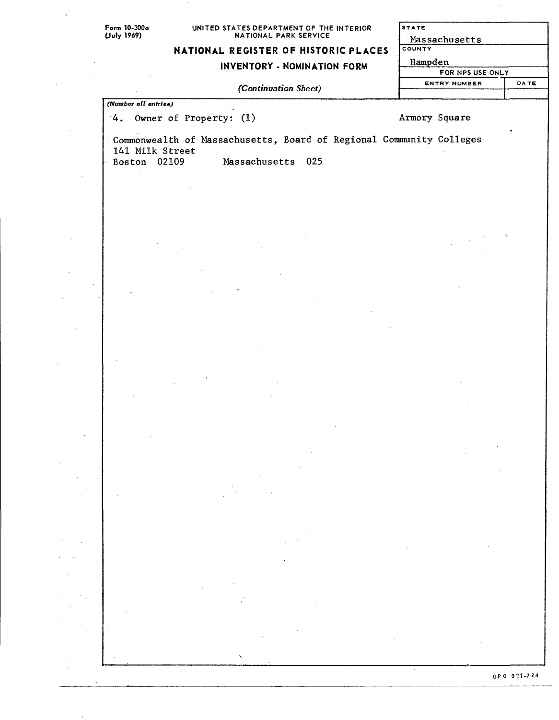*(Number ell entries)*

# UNITED STATES DEPARTMENT OF THE INTERIOR NATIONAL PARK SERVICE

# **NATIONAL REGISTER OF HISTORIC PLACES**

### **INVENTORY - NOMINATION FORM**

#### *(Continuation Sheet)*

| <b>STATE</b>        |             |
|---------------------|-------------|
| Massachusetts       |             |
| COUNTY              |             |
| Hampden             |             |
| FOR NPS USE ONLY    |             |
| <b>ENTRY NUMBER</b> | <b>DATE</b> |
|                     |             |
|                     |             |

4. Owner of Property: (1) Armory Square

Commonwealth of Massachusetts, Board of Regional Community Colleges 141 Milk Street Massachusetts 025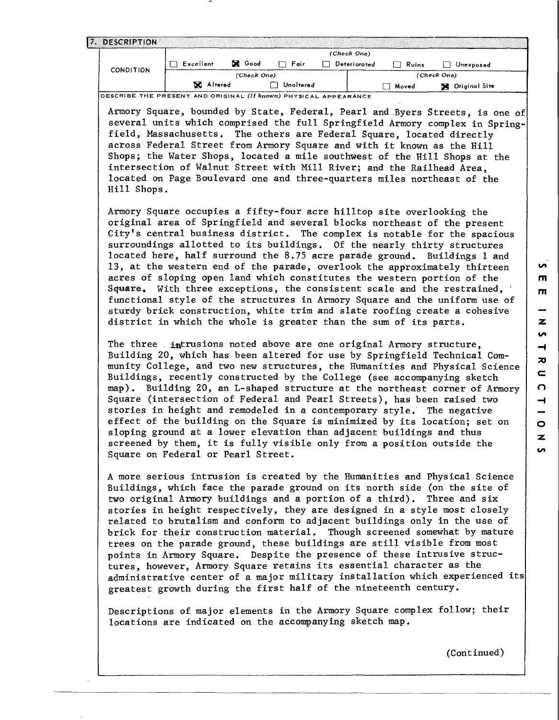|  | 7. DESCRIPTION   |              |               |           |              |       |               |
|--|------------------|--------------|---------------|-----------|--------------|-------|---------------|
|  |                  |              |               |           | (Check One)  |       |               |
|  | <b>CONDITION</b> | Excellent    | <b>X</b> Good | Fair      | Deterioroted | Ruins | Unexposed     |
|  |                  | (Check One)  |               |           |              |       | (Check One)   |
|  |                  | x<br>Altered |               | Unoltered |              | Moved | Originol Site |

DESCRIBE THE PRESENT AND ORIGINAL **(it known)** PHYSICAL APPEARANCE

Armory Square, bounded by State, Federal, Pearl and Byers Streets, is one of several units which comprised the full Springfield Armory complex in Springfield, Massachusetts. The others are Federal Square, located directly across Federal Street from Armory Square and with it known as the Hill Shops; the Water Shops, located a mile southwest of the Hill Shops at the intersection of Walnut Street with Mill River; and the Railhead Area, located on Page Boulevard one and three-quarters miles northeast of the Hill Shops.

Armory Square occupies a fifty-four acre hilltop site overlooking the original area of Springfield and several blocks northeast of the present City's central business district. The complex is notable for the spacious surroundings allotted to its buildings. Of the nearly thirty structures located here, half surround the 8.75 acre parade ground. Buildings 1 and 13, at the western end of the parade, overlook the approximately thirteen acres of sloping open land which constitutes the western portion of the Square, With three exceptions, the consistent scale and the restrained, ' functional style of the structures in Armory Square and the uniform use of sturdy brick construction, white trim and slate roofing create a cohesive district in which the whole is greater than the sum of its parts.

The three intrusions noted above are one original Armory structure. Building 20, which has been altered for use by Springfield Technical Community College, and two new structures, the Humanities and Physical Science Buildings, recently constructed by the College (see accompanying sketch map). Building 20, an L-shaped structure at the northeast corner of Armory Square (intersection of Federal and Pearl Streets), has been raised two stories in height and remodeled in a contemporary style. The negative effect of the building on the Square is minimized by its location; set on sloping ground at a lower elevation than adjacent buildings and thus screened by them, it is fully visible only from a position outside the Square on Federal or Pearl Street.

A more serious intrusion is created by the Humanities and Physical Science Buildings, which face the parade ground on its north side (on the site of two original Armory buildings and a portion of a third). Three and six stories in height respectively, they are designed in a style most closely related to brutalism and conform to adjacent buildings only in the use of brick for their construction material. Though screened somewhat by mature trees on the parade ground, these buildings are still visible from most points in Armory Square. Despite the presence of these intrusive structures, however, Armory Square retains its essential character as the administrative center of a major military installation which experienced its greatest growth during the first half of the nineteenth century.

Descriptions of major elements in the Armory Square complex follow; their locations are indicated on the accompanying sketch map.

(Continued)

«/»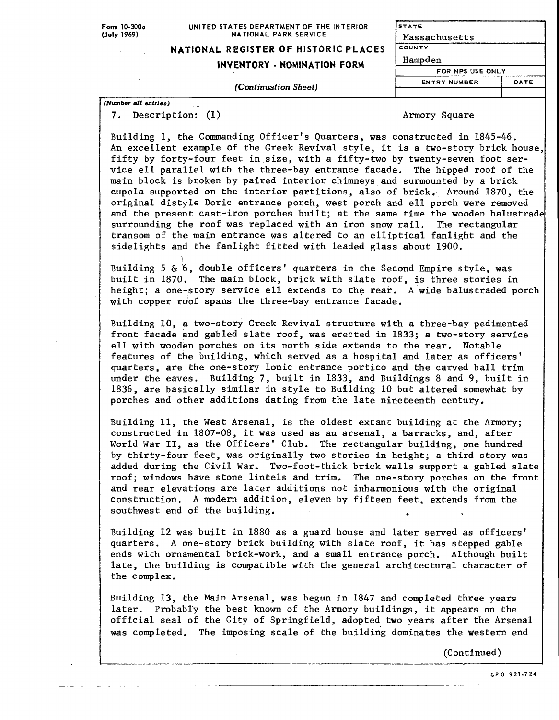Form 10-300o **(July** 19fi9)

#### UNITED STATES DEPARTMENT OF THE INTERIOR NATIONAL PARK SERVICE

### **NATIONAL REGISTER OF HISTORIC PLACES**

#### **INVENTORY - NOMINATION FORM**

| STATE               |      |
|---------------------|------|
| Massachusetts       |      |
| COUNTY              |      |
| Hampden             |      |
| FOR NPS USE ONLY    |      |
| <b>ENTRY NUMBER</b> | DATE |
|                     |      |

**(Continuation** Sheet)

*(Number ell entries)*

i

7. Description: (1) and the set of the set of the set of the set of the set of the set of the set of the set of the set of the set of the set of the set of the set of the set of the set of the set of the set of the set of

Building 1, the Commanding Officer's Quarters, was constructed in 1845-46. An excellent example of the Greek Revival style, it is a two-story brick house, fifty by forty-four feet in size, with a fifty-two by twenty-seven foot service ell parallel with the three-bay entrance facade. The hipped roof of the main block is broken by paired interior chimneys and surmounted by a brick cupola supported on the interior partitions, also of brick, Around 1870, the original distyle Doric entrance porch, west porch and ell porch were removed and the present cast-iron porches built; at the same time the wooden balustrade surrounding the roof was replaced with an iron snow rail. The rectangular transom of the main entrance was altered to an elliptical fanlight and the sidelights and the fanlight fitted with leaded glass about 1900.

Building 5 & 6, double officers' quarters in the Second Empire style, was built in 1870. The main block, brick with slate roof, is three stories in height; a one-story service ell extends to the rear. A wide balustraded porch with copper roof spans the three-bay entrance facade.

Building 10, a two-story Greek Revival structure with a three-bay pedimented front facade and gabled slate roof, was erected in 1833; a two-story service ell with wooden porches on its north side extends to the rear. Notable features of the building, which served as a hospital and later as officers' quarters, are, the one-story Ionic entrance portico and the carved ball trim under the eaves. Building 7, built in 1833, and Buildings 8 and 9, built in 1836, are basically similar in style to Building 10 but altered somewhat by porches and other additions dating from the late nineteenth century.

Building 11, the West Arsenal, is the oldest extant building at the Armory; constructed in 1807-08, it was used as an arsenal, a barracks, and, after World War II, as the Officers' Club. The rectangular building, one hundred by thirty-four feet, was originally two stories in height; a third story was added during the Civil War. Two-foot-thick brick walls support a gabled slate roof; windows have stone lintels and trim. The one-story porches on the front and rear elevations are later additions not inharmonious with the original construction. A modern addition, eleven by fifteen feet, extends from the southwest end of the building. .

Building 12 was built in 1880 as a guard house and later served as officers' quarters. A one-story brick building with slate roof, it has stepped gable ends with ornamental brick-work, and a small entrance porch. Although built late, the building is compatible with the general architectural character of the complex.

Building 13, the Main Arsenal, was begun in 1847 and completed three years later. Probably the best known of the Armory buildings, it appears on the official seal of the City of Springfield, adopted two years after the Arsenal was completed. The imposing scale of the building dominates the western end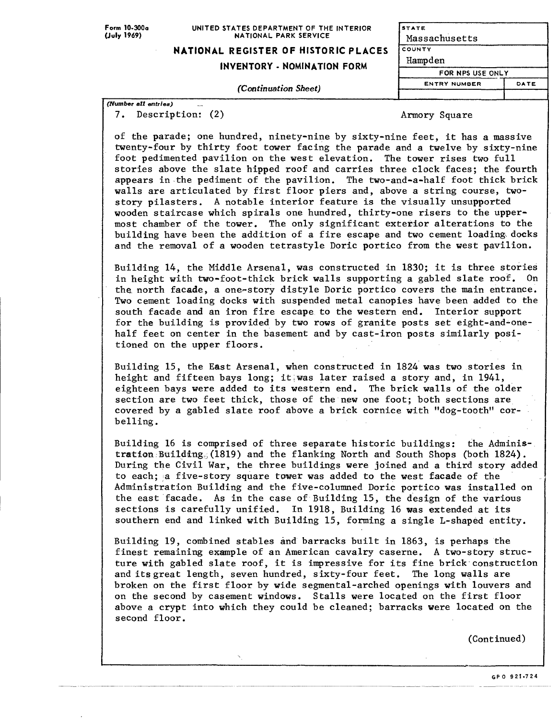#### UNITED STATES DEPARTMENT OF THE INTERIOR NATIONAL PARK SERVICE

### **NATIONAL REGISTER OF HISTORIC PLACES**

### **INVENTORY - NOMINATION FORM**

**STATE** Massachusetts **COUNTY** Hampden FOR NPS USE ONLY **ENTRY NUMBER DATE**

*(Continuation Sheet)*

*(Number all entries)*  7. Description: (2) and a set of the Armory Square

of the parade; one hundred, ninety-nine by sixty-nine feet, it has a massive twenty-four by thirty foot tower facing the parade and a twelve by sixty-nine foot pedimented pavilion on the west elevation. The tower rises two full stories above the slate hipped roof and carries three clock faces; the fourth appears in the pediment of the pavilion. The two-and-a-half foot thick brick walls are articulated by first floor piers and, above a string course, twostory pilasters. A notable interior feature is the visually unsupported wooden staircase which spirals one hundred, thirty-one risers to the uppermost chamber of the tower. The only significant exterior alterations to the building have been the addition of a fire escape and two cement loading docks and the removal of a wooden tetrastyle Doric portico from the west pavilion.

Building 14, the Middle Arsenal, was constructed in 1830; it is three stories in height with two-foot-thick brick walls supporting a gabled slate roof. On the. north facade, a one-story distyle Doric portico covers the main entrance. Two cement loading docks with suspended metal canopies have been added to the south facade and an iron fire escape to the western end. Interior support for the building is provided by two rows of granite posts set eight-and-onehalf feet on center in the basement and by cast-iron posts similarly positioned on the upper floors.

Building 15, the East Arsenal, when constructed in 1824 was two stories in height and fifteen bays long; it,was later raised a story and, in 1941, eighteen bays were added to its western end. The brick walls of the older section are two feet thick, those of the new one foot; both sections are covered by a gabled slate roof above a brick cornice with "dog-tooth" corbelling.

Building 16 is comprised of three separate historic buildings: the Administration Building^(1819) and the flanking North and South Shops (both 1824). During the Civil War, the three buildings were joined and a third story added to each; a five-story square tower was added to the west facade of the Administration Building and the five-columned Doric portico was installed on the east facade. As in the case of Building 15, the design of the various sections is carefully unified. In 1918, Building 16 was extended at its southern end and linked with Building 15, forming a single L-shaped entity.

Building 19, combined stables and barracks built in 1863, is perhaps the finest remaining example of an American cavalry caserne. A two-story structure with gabled slate roof, it is impressive for its fine brick construction and its great length, seven hundred, sixty-four feet. The long walls are broken on the first floor by wide segmental-arched openings with louvers and on the second by casement windows. Stalls were located on the first floor above a crypt into which they could be cleaned; barracks were located on the second floor.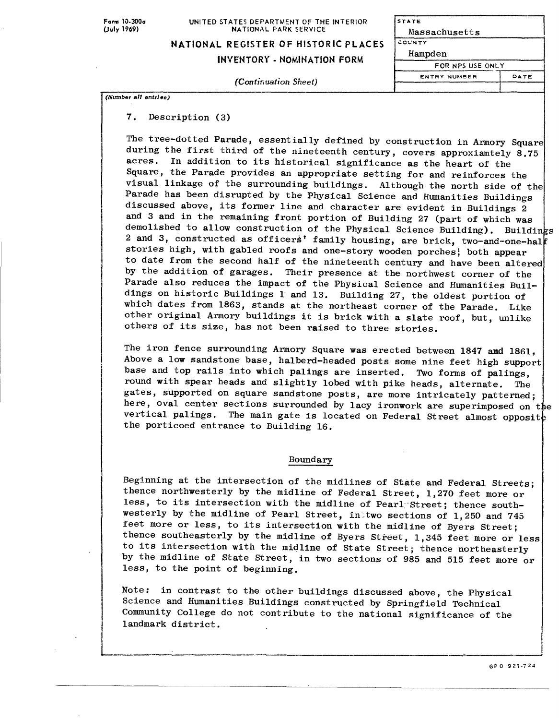Form 10-300o **(July 1969)**

UNITED STATES DEPARTMENT OF THE INTERIOR NATIONAL PARK SERVICE

**NATIONAL REGISTER OF HISTORIC PLACES** 

**(Continuation Sheet)**

**INVENTORY - NOMINATION FORM**

| COUNTY              |      |
|---------------------|------|
| Hampden             |      |
| FOR NPS USE ONLY    |      |
| <b>ENTRY NUMBER</b> | DATE |
|                     |      |

Massachusett s

**STATE**

(TVuciber **a/?** *entries)*

**7. Description (3)**

The tree-dotted Parade, essentially defined by construction in Armory Square during the first third of the nineteenth century, covers approxiamtely 8.75 acres. In addition to its historical significance as the heart of the Square, the Parade provides an appropriate setting for and reinforces the visual linkage of the surrounding buildings. Although the north side of the Parade has been disrupted by the Physical Science and Humanities Buildings discussed above, its former line and character are evident in Buildings 2 and 3 and in the remaining front portion of Building 27 (part of which was demolished to allow construction of the Physical Science Building). Buildings 2 and 3, constructed as officers' family housing, are brick, two-and-one-hal stories high, with gabled roofs and one-story wooden porches} both appear to date from the second half of the nineteenth century and have been altered by the addition of garages. Their presence at the northwest corner of the Parade also reduces the impact of the Physical Science and Humanities Buildings on historic Buildings 1 and 13. Building 27, the oldest portion of which dates from 1863, stands at the northeast corner of the Parade. Like other original Armory buildings it is brick with a slate roof, but, unlike others of its size, has not been raised to three stories.

The iron fence surrounding Armory Square was erected between 1847 and 1861, Above a low sandstone base, halberd-headed posts some nine feet high support base and top rails into which palings are inserted. Two forms of palings, round with spear heads and slightly lobed with pike heads, alternate. The gates, supported on square sandstone posts, are more intricately patterned; here, oval center sections surrounded by lacy ironwork are superimposed on the vertical palings. The main gate is located on Federal Street almost opposit the porticoed entrance to Building 16.

#### Boundary

Beginning at the intersection of the midlines of State and Federal Streets; thence northwesterly by the midline of Federal Street, 1,270 feet more or less, to its intersection with the midline of Pearl Street; thence southwesterly by the midline of Pearl Street, intwo sections of 1,250 and 745 feet more or less, to its intersection with the midline of Byers Street; thence southeasterly by the midline of Byers Street, 1,345 feet more or less to its intersection with the midline of State Street; thence northeasterly by the midline of State Street, in two sections of 985 and 515 feet more or less, to the point of beginning.

Note: in contrast to the other buildings discussed above, the Physical Science and Humanities Buildings constructed by Springfield Technical Community College do not contribute to the national significance of the landmark district.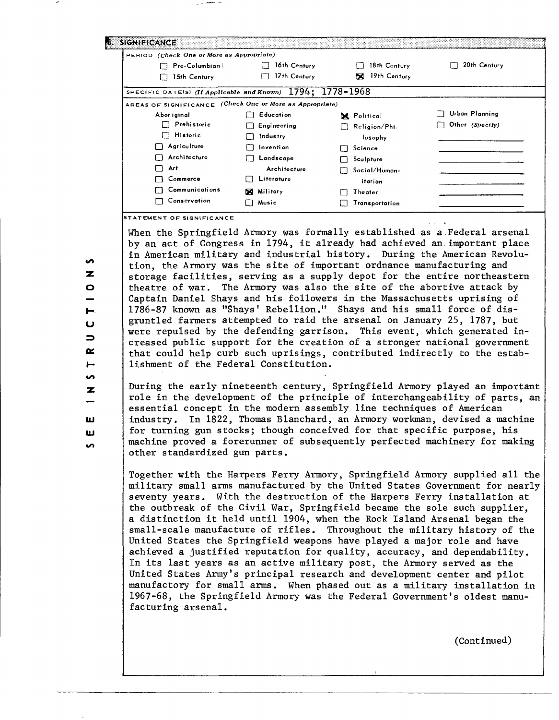| PERIOD (Check One or More as Appropriate)                      |              |                    |                 |
|----------------------------------------------------------------|--------------|--------------------|-----------------|
| Pre-Columbian!                                                 | 16th Century | 18th Century<br>11 | 20th Century    |
| 15th Century                                                   | 17th Century | 19th Century<br>×  |                 |
| SPECIFIC DATE(S) (If Applicable and Known) $1794; 1778 - 1968$ |              |                    |                 |
| AREAS OF SIGNIFICANCE (Check One or More as Appropriate)       |              |                    |                 |
| Abor iginal                                                    | Education    | <b>X</b> Political | Urban Planning  |
| $\Box$ Prehistoric                                             | Engineering  | Religion/Phi-      | Other (Specify) |
| $\Box$ Historic                                                | Industry     | losophy            |                 |
| Agriculture<br>. .                                             | Invention    | $\Box$ Science     |                 |
| Architecture                                                   | Landscape    | Sculpture          |                 |
| Art                                                            | Architecture | Social/Human-      |                 |
| Commerce                                                       | Literature   | itarian            |                 |
| Communications                                                 | X Military   | Theater            |                 |
| Conservation                                                   | Music<br>U   | Transportation     |                 |

u

 $\Rightarrow$  $\sim$  $\blacksquare$ **i**  $\overline{\mathbf{z}}$ 

ь.

**S** z. Ō

**UJ**

ш ъñ.

When the Springfield Armory was formally established as a.Federal arsenal by an act of Congress in 1794, it already had achieved an important place in American military and industrial history. During the American Revolution, the Armory was the site of important ordnance manufacturing and storage facilities, serving as a supply depot for the entire northeastern theatre of war. The Armory was also the site of the abortive attack by Captain Daniel Shays and his followers in the Massachusetts uprising of 1786-87 known as "Shays' Rebellion." Shays and his small force of disgruntled farmers attempted to raid the arsenal on January 25, 1787, but were repulsed by the defending garrison. This event, which generated increased public support for the creation of a stronger national government that could help curb such uprisings, contributed indirectly to the establishment of the Federal Constitution.

During the early nineteenth century, Springfield Armory played an important role in the development of the principle of interchangeability of parts, an essential concept in the modern assembly line techniques of American industry. In 1822, Thomas Blanchard, an Armory workman, devised a machine for turning gun stocks; though conceived for that specific purpose, his machine proved a forerunner of subsequently perfected machinery for making other standardized gun parts.

Together with the Harpers Ferry Armory, Springfield Armory supplied all the military small arms manufactured by the United States Government for nearly seventy years. With the destruction of the Harpers Ferry installation at the outbreak of the Civil War, Springfield became the sole such supplier, a distinction it held until 1904, when the Rock Island Arsenal began the small-scale manufacture of rifles. Throughout the military history of the United States the Springfield weapons have played a major role and have achieved a justified reputation for quality, accuracy, and dependability. In its last years as an active military post, the Armory served as the United States Army's principal research and development center and pilot manufactory for small arms. When phased out as a military installation in 1967-68, the Springfield Armory was the Federal Government's oldest manufacturing arsenal.

**MENT OF SIGNIFIC ANCE**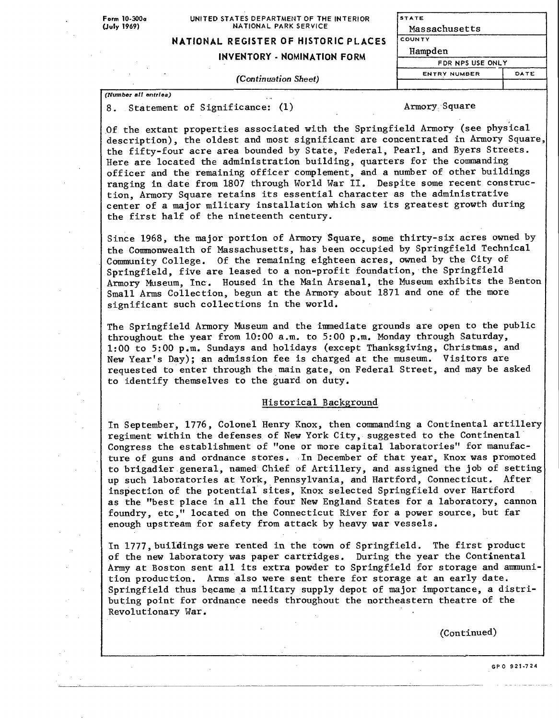Form 10-300a **(July** 1969)

#### UNITED STATES DEPARTMENT OF THE INTERIOR NATIONAL PARK SERVICE

**STATE**

 $\overline{c}$ 

# **NATIONAL REGISTER OF HISTORIC PL ACES**

### **INVENTORY - NOMINATION FORM**

**(Continuation Sheet)**

| Massachusetts       |      |
|---------------------|------|
| OUNTY               |      |
| Hampden             |      |
| FDR NPS USE ONLY    |      |
| <b>ENTRY NUMBER</b> | DATE |
|                     |      |

*(Number at! entries)*

8. Statement of Significance: (1) Armory Square

Of the extant properties associated with the Springfield Armory (see physical description), the oldest and most significant are concentrated in Armory Square. the fifty-four acre area bounded by State, Federal, Pearl, and Byers Streets. Here are located the administration building, quarters for the commanding officer and the remaining officer complement, and a number of other buildings ranging in date from 1807 through World War II. Despite some recent construction, Armory Square retains its essential character as the administrative center of a major military installation which saw its greatest growth during the first half of the nineteenth century.

Since 1968, the major portion of Armory Square, some thirty-six acres owned by the Commonwealth of Massachusetts, has been occupied by Springfield Technical Community College. Of the remaining eighteen acres, owned by the City of Springfield, five are leased to a non-profit foundation, the Springfield Armory Museum, Inc. Housed in the Main Arsenal, the Museum exhibits the Benton Small Arms Collection, begun at the Armory about 1871 and one of the more significant such collections in the world.

The Springfield Armory Museum and the immediate grounds are open to the public throughout the year from 10:00 a.m. to 5:00 p.m. Monday through Saturday, 1:00 to 5:00 p.m. Sundays and holidays (except Thanksgiving, Christmas, and New Year's Day); an admission fee is charged at the museum. Visitors are requested to enter through the main gate, on Federal Street, and may be asked to identify themselves to the guard on duty.

#### Historical Background

In September, 1776, Colonel Henry Knox, then commanding a Continental artillery regiment within the defenses of New York City, suggested to the Continental Congress the establishment of "one or more capital laboratories" for manufacture of guns and ordnance stores. In December of that year, Knox was promoted to brigadier general, named Chief of Artillery, and assigned the job of setting up such laboratories at York, Pennsylvania, and Hartford, Connecticut. After inspection of the potential sites, Knox selected Springfield over Hartford as the "best place in all the four New England States for a laboratory, cannon foundry, etc," located on the Connecticut River for a power source, but far enough upstream for safety from attack by heavy war vessels.

In 1777, buildings were rented in the town of Springfield. The first product of the new laboratory was paper cartridges. During the year the Continental Army at Boston sent all its extra powder to Springfield for storage and ammunition production. Arms also were sent there for storage at an early date. Springfield thus became a military supply depot of major importance, a distributing point for ordnance needs throughout the northeastern theatre of the Revolutionary War.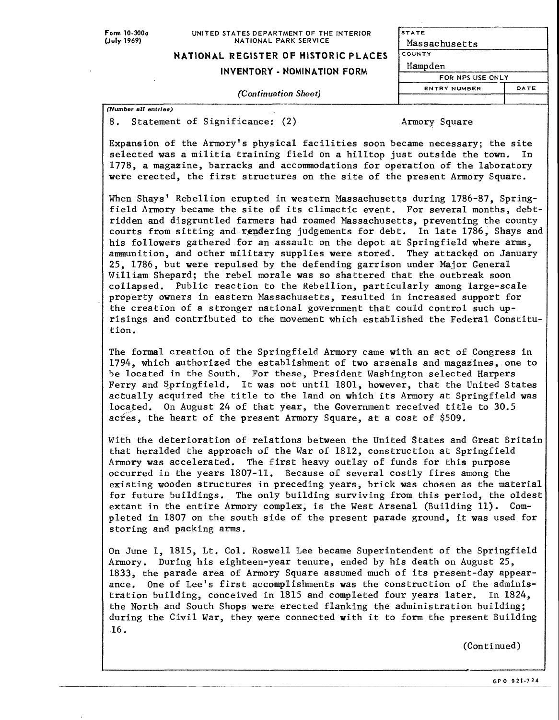#### UNITED STATES DEPARTMENT OF THE INTERIOR NATIONAL PARK SERVICE

### **NATIONAL REGISTER OF HISTORIC PLACES**

### **INVENTORY - NOMINATION FORM**

| TATE                |      |
|---------------------|------|
| Massachusetts       |      |
| <b>OUNTY</b>        |      |
| Hampden             |      |
| FOR NPS USE ONLY    |      |
| <b>ENTRY NUMBER</b> | DATE |
|                     |      |

**(Continuation Sheet)**

*(Number all entries)* 8. Statement of Significance: (2) Armory Square

 $\mathbf{s}$ 

 $\overline{\mathbf{c}}$ 

Expansion of the Armory's physical facilities soon became necessary; the site selected was a militia training field on a hilltop just outside the town. In 1778, a magazine, barracks and accommodations for operation of the laboratory were erected, the first structures on the site of the present Armory Square.

When Shays' Rebellion erupted in western Massachusetts during 1786-87, Springfield Armory became the site of its climactic event. For several months, debtridden and disgruntled farmers had roamed Massachusetts, preventing the county courts from sitting and rendering judgements for debt. In late 1786, Shays and his followers gathered for an assault on the depot at Springfield where arms, ammunition, and other military supplies were stored. They attacked on January 25, 1786, but were repulsed by the defending garrison under Major General William Shepard; the rebel morale was so shattered that the outbreak soon collapsed. Public reaction to the Rebellion, particularly among large-scale property owners in eastern Massachusetts, resulted in increased support for the creation of a stronger national government that could control such uprisings and contributed to the movement which established the Federal Constitution.

The formal creation of the Springfield Armory came with an act of Congress in 1794, which authorized the establishment of two arsenals and magazines, one to be located in the South. For these, President Washington selected Harpers Ferry and Springfield. It was not until 1801, however, that the United States actually acquired the title to the land on which its Armory at Springfield was located. On August 24 of that year, the Government received title to 30.5 acres, the heart of the present Armory Square, at a cost of \$509.

With the deterioration of relations between the United States and Great Britain that heralded the approach of the War of 1812, construction at Springfield Armory was accelerated. The first heavy outlay of funds for this purpose occurred in the years 1807-11. Because of several costly fires among the existing wooden structures in preceding years, brick was chosen as the material for future buildings. The only building surviving from this period, the oldest extant in the entire Armory complex, is the West Arsenal (Building 11). Completed in 1807 on the south side of the present parade ground, it was used for storing and packing arms.

On June 1, 1815, Lt. Col. Roswell Lee became Superintendent of the Springfield Armory. During his eighteen-year tenure, ended by his death on August 25, 1833, the parade area of Armory Square assumed much of its present-day appearance. One of Lee's first accomplishments was the construction of the administration building, conceived in 1815 and completed four years later. In 1824, the North and South Shops were erected flanking the administration building; during the Civil War, they were connected with it to form the present Building 16.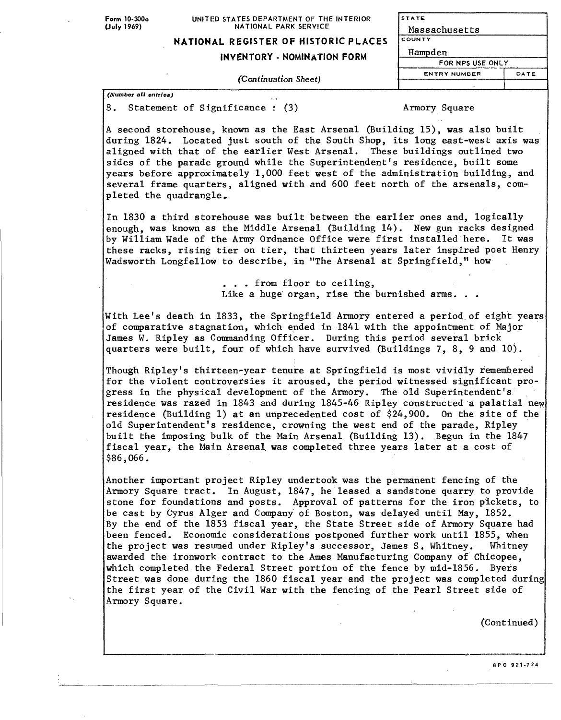#### UNITED STATES DEPARTMENT OF THE INTERIOR NATIONAL PARK SERVICE

**STATE** <u>Massachusetts</u>

# **NATIONAL REGISTER OF HISTORIC PLACES**

### **INVENTORY - NOMINATION FORM**

(Continuation Sheet)

| Massachusetts    |      |
|------------------|------|
| COUNTY           |      |
| Hampden          |      |
| FOR NPS USE ONLY |      |
| ENTRY NUMBER     | DATE |
|                  |      |

*(Number all entries)*

8. Statement of Significance : (3) Armory Square

A second storehouse, known as the East Arsenal (Building 15), was also built during 1824. Located just south of the South Shop, its long east-west axis was aligned with that of the earlier West Arsenal. These buildings outlined two sides of the parade ground while the Superintendent's residence, built some years before approximately 1,000 feet west of the administration building, and several frame quarters, aligned with and 600 feet north of the arsenals, completed the quadrangle.

In 1830 a third storehouse was built between the earlier ones and, logically enough, was known as the Middle Arsenal (Building 14). New gun racks designed by William Wade of the Army Ordnance Office were first installed here. It was these racks, rising tier on tier, that thirteen years later inspired poet Henry Wadsworth Longfellow to describe, in "The Arsenal at Springfield," how

> . . . from floor to ceiling, Like a huge organ, rise the burnished arms. . .

With Lee's death in 1833, the Springfield Armory entered a period of eight years of comparative stagnation, which ended in 1841 with the appointment of Major James W. Ripley as Commanding Officer. During this period several brick quarters were built, four of which have survived (Buildings 7, 8, 9 and 10).

Though Ripley's thirteen-year tenure at Springfield is most vividly remembered for the violent controversies it aroused, the period witnessed significant progress in the physical development of the Armory. The old Superintendent's residence was razed in 1843 and during 1845-46 Ripley constructed a palatial new residence (Building 1) at an unprecedented cost of \$24,900. On the site of the old Superintendent's residence, crowning the west end of the parade, Ripley built the imposing bulk of the Main Arsenal (Building 13). Begun in the 1847 fiscal year, the Main Arsenal was completed three years later at a cost of \$86,066.

Another important project Ripley undertook was the permanent fencing of the Armory Square tract. In August, 1847, he leased a sandstone quarry to provide stone for foundations and posts. Approval of patterns for the iron pickets, to be cast by Cyrus Alger and Company of Boston, was delayed until May, 1852. By the end of the 1853 fiscal year, the State Street side of Armory Square had been fenced. Economic considerations postponed further work until 1855, when the project was resumed under Ripley's successor, James S. Whitney. Whitney awarded the ironwork contract to the Ames Manufacturing Company of Chicopee, which completed the Federal Street portion of the fence by mid-1856. Byers Street was done during the 1860 fiscal year and the project was completed during the first year of the Civil War with the fencing of the Pearl Street side of Armory Square.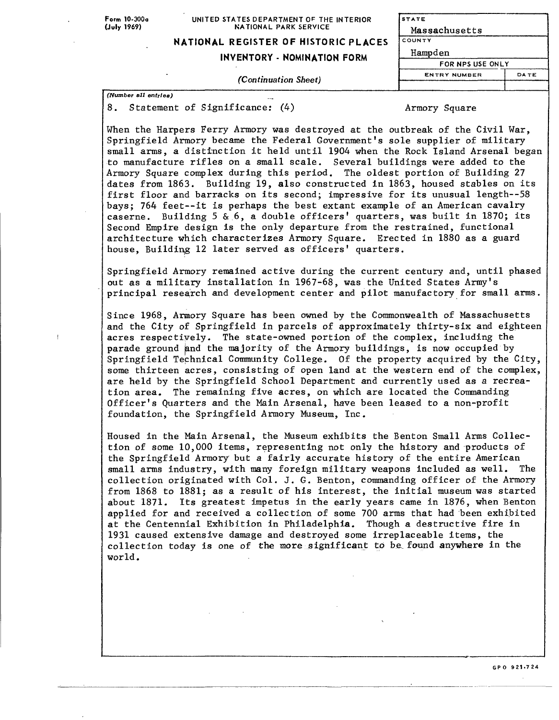**Form** 10-300a **(July 1969)**

#### UNITED STATES DEPARTMENT OF THE INTERIOR NATIONAL PARK SERVICE

## **NATIONAL REGISTER OF HISTORIC PLACES**

#### **INVENTORY - NOMINATION FORM**

**STATE** Massachusetts **COUNTY** Hampden FOR NPS USE ONLY **ENTRY NUMBER DATE** 

*(Continuation Sheet)*

*(Number oil entries)*

8. Statement of Significance: (4) Armory Square

When the Harpers Ferry Armory was destroyed at the outbreak of the Civil War, Springfield Armory became the Federal Government's sole supplier of military small arms, a distinction it held until 1904 when the Rock Island Arsenal began to manufacture rifles on a small scale. Several buildings were added to the Armory Square complex during this period. The oldest portion of Building 27 dates from 1863. Building 19, also constructed in 1863, housed stables on its first floor and barracks on its second; impressive for its unusual length--58 bays; 764 feet--it is perhaps the best extant example of an American cavalry caserne. Building 5 & 6, a double officers' quarters, was built in 1870; its Second Empire design is the only departure from the restrained, functional architecture which characterizes Armory Square. Erected in 1880 as a guard house, Building 12 later served as officers' quarters.

Springfield Armory remained active during the current century and, until phased out as a military installation in 1967-68, was the United States Army's principal research and development center and pilot manufactory for small arms.

Since 1968, Armory Square has been owned by the Commonwealth of Massachusetts and the City of Springfield in parcels of approximately thirty-six and eighteen acres respectively. The state-owned portion of the complex, including the parade ground and the majority of the Armory buildings, is now occupied by Springfield Technical Community College. Of the property acquired by the City, some thirteen acres, consisting of open land at the western end of the complex, are held by the Springfield School Department and currently used as a recreation area. The remaining five acres, on which are located the Commanding Officer's Quarters and the Main Arsenal, have been leased to a non-profit foundation, the Springfield Armory Museum, Inc.

Housed in the Main Arsenal, the Museum exhibits the Benton Small Arms Collection of some 10,000 items, representing not only the history and products of the Springfield Armory but a fairly accurate history of the entire American small arms industry, with many foreign military weapons included as well. The collection originated with Col. J. G. Benton, commanding officer of the Armory from 1868 to 1881; as a result of his interest, the initial museum was started about 1871. Its greatest impetus in the early years came in 1876, when Benton applied for and received a collection of some 700 arms that had been exhibited at the Centennial Exhibition in Philadelphia. Though a destructive fire in 1931 caused extensive damage and destroyed some irreplaceable items, the collection today is one of the more significant to be.found anywhere in the world.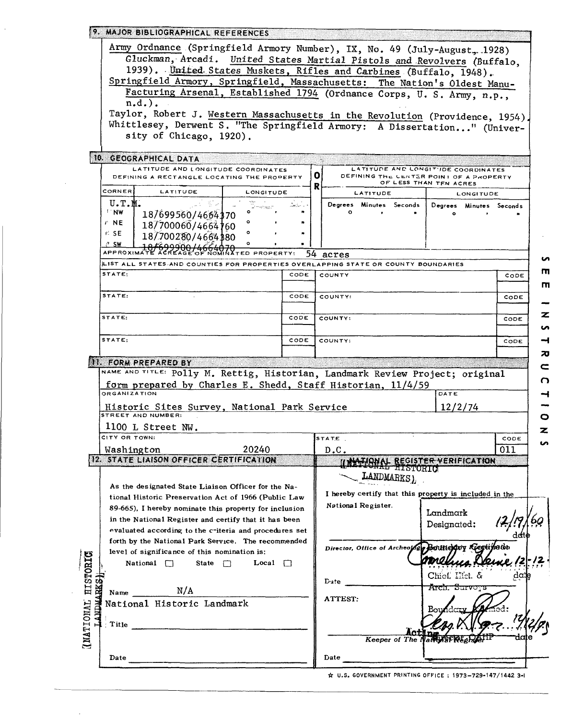| <b>9. MAJOR BIBLIOGRAPHICAL REFERENCES</b> |  |  |  |  |  |  |  |
|--------------------------------------------|--|--|--|--|--|--|--|
|                                            |  |  |  |  |  |  |  |

Army Ordnance (Springfield Armory Number), IX, No. 49 (July-August, 1928) Gluckman, Arcadi. United States Martial Pistols and Revolvers (Buffalo, 1939). United States Muskets, Rifles and Carbines (Buffalo, 1948). Springfield Armory, Springfield, Massachusetts: The Nation's Oldest Manu-

Facturing Arsenal, Established 1794 (Ordnance Corps, U.S. Army, n.p.,  $\overline{n.d.}$ .

Taylor, Robert J. Western Massachusetts in the Revolution (Providence, 1954) Whittlesey, Derwent S. "The Springfield Armory: A Dissertation..." (University of Chicago, 1920).

| 10. GEOGRAPHICAL DATA<br>LATITUDE AND LONGITUDE COORDINATES<br>DEFINING A RECTANGLE LOCATING THE PROPERTY                                                                                                                                                                                |      | LATITUDE AND LONGITUDE COORDINATES<br>$\mathbf 0$<br>DEFINING THE CENTER POINT OF A PROPERTY<br>OF LESS THAN TEN ACRES                          |      |
|------------------------------------------------------------------------------------------------------------------------------------------------------------------------------------------------------------------------------------------------------------------------------------------|------|-------------------------------------------------------------------------------------------------------------------------------------------------|------|
| CORNER<br>LATITUDE<br>LONGITUDE                                                                                                                                                                                                                                                          |      | R<br>LATITUDE<br>LONGITUDE                                                                                                                      |      |
| U.T.M.<br><b>FINW</b><br>18/699560/4664370<br>$r$ NE<br>18/700060/4664160<br>r⊆ sE<br>18/700280/4664380<br>⊘° SW<br><b>APPROXI</b><br>TED PROPERTY:                                                                                                                                      |      | Degrees Minutes Seconds<br>Degrees Minutes Seconds<br>54                                                                                        |      |
| LIST ALL STATES AND COUNTIES FOR PROPERTIES OVERLAPPING STATE OR COUNTY BOUNDARIES                                                                                                                                                                                                       |      | acres                                                                                                                                           |      |
| STATE:                                                                                                                                                                                                                                                                                   | CODE | COUNTY<br>CODE                                                                                                                                  |      |
| STATE:                                                                                                                                                                                                                                                                                   | CODE | COUNTY:<br>CODE                                                                                                                                 |      |
| STATE:                                                                                                                                                                                                                                                                                   | CODE | COUNTY:<br>CODE                                                                                                                                 |      |
| STATE:                                                                                                                                                                                                                                                                                   | CODE | COUNTY:<br>CODE                                                                                                                                 |      |
| <b>TH. FORM PREPARED BY</b>                                                                                                                                                                                                                                                              |      |                                                                                                                                                 |      |
| form prepared by Charles E. Shedd, Staff Historian, 11/4/59<br><b>ORGANIZATION</b><br>Historic Sites Survey, National Park Service<br>1100 L Street NW.                                                                                                                                  |      | DATE<br>12/2/74                                                                                                                                 |      |
| CITY OR TOWN:<br>20240<br>Washington                                                                                                                                                                                                                                                     |      | STATE<br>CODE<br>D.C.<br>011                                                                                                                    |      |
| 12. STATE LIAISON OFFICER CERTIFICATION                                                                                                                                                                                                                                                  |      | LINGTONAL REGISTER VERIFICATION                                                                                                                 |      |
| As the designated State Liaison Officer for the Na-<br>tional Historic Preservation Act of 1966 (Public Law<br>89-665), I hereby nominate this property for inclusion<br>in the National Register and certify that it has been<br>evaluated according to the criteria and procedures set |      | LANDMARKS)<br>I hereby certify that this property is included in the<br>National Register.<br>Landmark<br>Designated:                           |      |
| forth by the National Park Service. The recommended<br>level of significance of this nomination is:<br>National $\Box$<br>State $\Box$<br>Local $\Box$<br>Name $N/A$                                                                                                                     |      | Director, Office of Archeology Boultierquy Reguireton<br>amelina Deine 12-12<br>Chief, Ilici. &<br>Dute.<br><del>Āreh, Surveys</del><br>ATTEST: | date |
| National Historic Landmark<br>Title                                                                                                                                                                                                                                                      |      | A Q.<br>Keeper of The Nater SPREe                                                                                                               |      |
| Date                                                                                                                                                                                                                                                                                     |      | Date                                                                                                                                            |      |